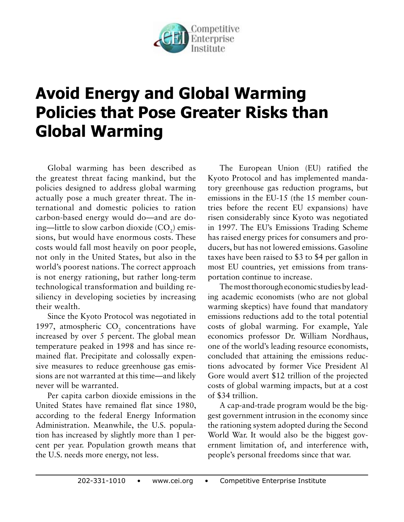

## **Avoid Energy and Global Warming Policies that Pose Greater Risks than Global Warming**

Global warming has been described as the greatest threat facing mankind, but the policies designed to address global warming actually pose a much greater threat. The international and domestic policies to ration carbon-based energy would do—and are doing—little to slow carbon dioxide (CO<sub>2</sub>) emissions, but would have enormous costs. These costs would fall most heavily on poor people, not only in the United States, but also in the world's poorest nations. The correct approach is not energy rationing, but rather long-term technological transformation and building resiliency in developing societies by increasing their wealth.

Since the Kyoto Protocol was negotiated in 1997, atmospheric  $CO<sub>2</sub>$  concentrations have increased by over 5 percent. The global mean temperature peaked in 1998 and has since remained flat. Precipitate and colossally expensive measures to reduce greenhouse gas emissions are not warranted at this time—and likely never will be warranted.

Per capita carbon dioxide emissions in the United States have remained flat since 1980, according to the federal Energy Information Administration. Meanwhile, the U.S. population has increased by slightly more than 1 percent per year. Population growth means that the U.S. needs more energy, not less.

The European Union (EU) ratified the Kyoto Protocol and has implemented mandatory greenhouse gas reduction programs, but emissions in the EU-15 (the 15 member countries before the recent EU expansions) have risen considerably since Kyoto was negotiated in 1997. The EU's Emissions Trading Scheme has raised energy prices for consumers and producers, but has not lowered emissions. Gasoline taxes have been raised to \$3 to \$4 per gallon in most EU countries, yet emissions from transportation continue to increase.

The most thorough economic studies by leading academic economists (who are not global warming skeptics) have found that mandatory emissions reductions add to the total potential costs of global warming. For example, Yale economics professor Dr. William Nordhaus, one of the world's leading resource economists, concluded that attaining the emissions reductions advocated by former Vice President Al Gore would avert \$12 trillion of the projected costs of global warming impacts, but at a cost of \$34 trillion.

A cap-and-trade program would be the biggest government intrusion in the economy since the rationing system adopted during the Second World War. It would also be the biggest government limitation of, and interference with, people's personal freedoms since that war.